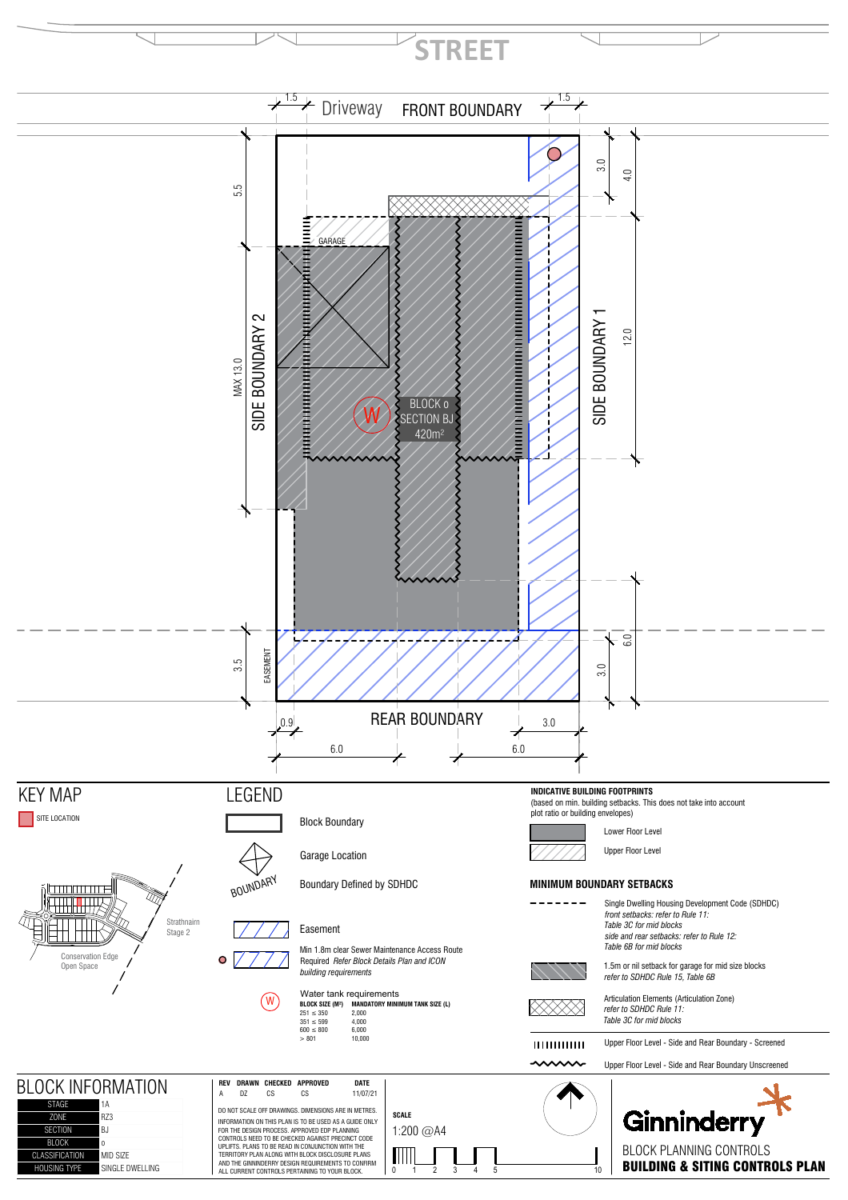